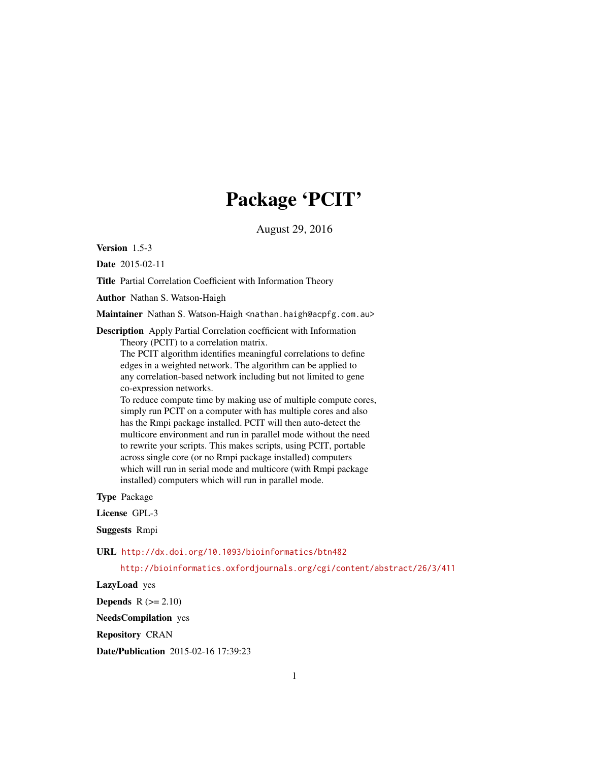## Package 'PCIT'

August 29, 2016

<span id="page-0-0"></span>Version 1.5-3

Date 2015-02-11

Title Partial Correlation Coefficient with Information Theory

Author Nathan S. Watson-Haigh

Maintainer Nathan S. Watson-Haigh <nathan.haigh@acpfg.com.au>

Description Apply Partial Correlation coefficient with Information Theory (PCIT) to a correlation matrix.

The PCIT algorithm identifies meaningful correlations to define edges in a weighted network. The algorithm can be applied to any correlation-based network including but not limited to gene co-expression networks.

To reduce compute time by making use of multiple compute cores, simply run PCIT on a computer with has multiple cores and also has the Rmpi package installed. PCIT will then auto-detect the multicore environment and run in parallel mode without the need to rewrite your scripts. This makes scripts, using PCIT, portable across single core (or no Rmpi package installed) computers which will run in serial mode and multicore (with Rmpi package installed) computers which will run in parallel mode.

Type Package

License GPL-3

Suggests Rmpi

URL <http://dx.doi.org/10.1093/bioinformatics/btn482>

<http://bioinformatics.oxfordjournals.org/cgi/content/abstract/26/3/411>

LazyLoad yes

**Depends**  $R$  ( $>= 2.10$ )

NeedsCompilation yes

Repository CRAN

Date/Publication 2015-02-16 17:39:23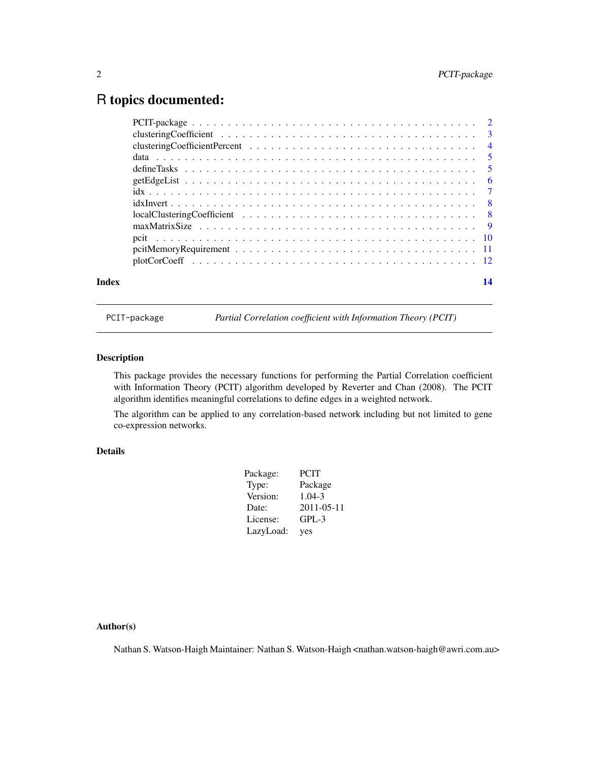### <span id="page-1-0"></span>R topics documented:

| 14 |
|----|
|    |

PCIT-package *Partial Correlation coefficient with Information Theory (PCIT)*

#### Description

This package provides the necessary functions for performing the Partial Correlation coefficient with Information Theory (PCIT) algorithm developed by Reverter and Chan (2008). The PCIT algorithm identifies meaningful correlations to define edges in a weighted network.

The algorithm can be applied to any correlation-based network including but not limited to gene co-expression networks.

#### Details

| Package:  | <b>PCIT</b> |
|-----------|-------------|
| Type:     | Package     |
| Version:  | $1.04 - 3$  |
| Date:     | 2011-05-11  |
| License:  | GPL-3       |
| LazyLoad: | yes         |

#### Author(s)

Nathan S. Watson-Haigh Maintainer: Nathan S. Watson-Haigh <nathan.watson-haigh@awri.com.au>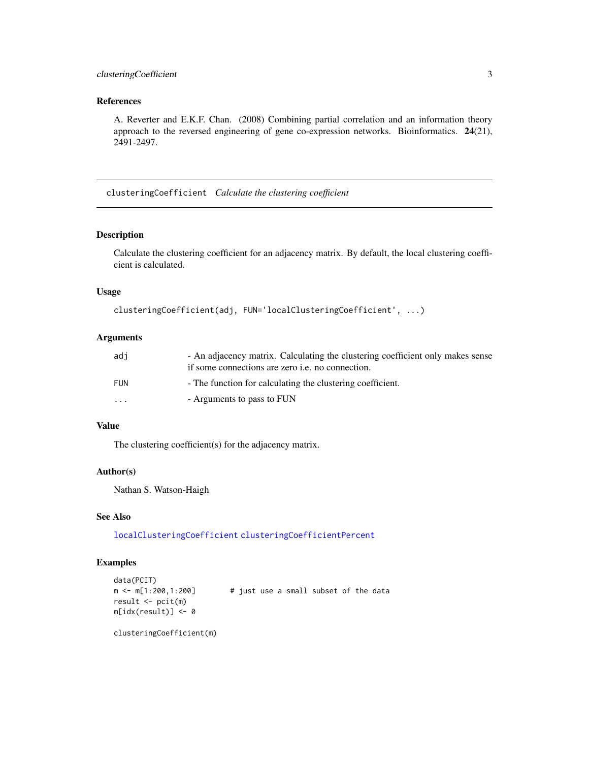#### <span id="page-2-0"></span>clusteringCoefficient 3

#### References

A. Reverter and E.K.F. Chan. (2008) Combining partial correlation and an information theory approach to the reversed engineering of gene co-expression networks. Bioinformatics. 24(21), 2491-2497.

<span id="page-2-1"></span>clusteringCoefficient *Calculate the clustering coefficient*

#### Description

Calculate the clustering coefficient for an adjacency matrix. By default, the local clustering coefficient is calculated.

#### Usage

```
clusteringCoefficient(adj, FUN='localClusteringCoefficient', ...)
```
#### Arguments

| adi                     | - An adjacency matrix. Calculating the clustering coefficient only makes sense |
|-------------------------|--------------------------------------------------------------------------------|
|                         | if some connections are zero <i>i.e.</i> no connection.                        |
| FUN                     | - The function for calculating the clustering coefficient.                     |
| $\cdot$ $\cdot$ $\cdot$ | - Arguments to pass to FUN                                                     |

#### Value

The clustering coefficient(s) for the adjacency matrix.

#### Author(s)

Nathan S. Watson-Haigh

#### See Also

[localClusteringCoefficient](#page-7-1) [clusteringCoefficientPercent](#page-3-1)

#### Examples

```
data(PCIT)
m \le m[1:200,1:200] # just use a small subset of the data
result <- pcit(m)
m[idx(result)] <- 0
```
clusteringCoefficient(m)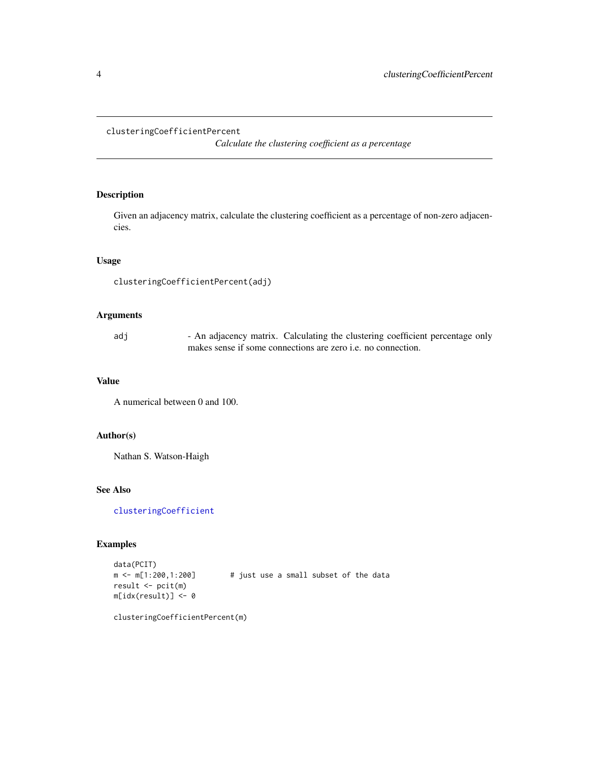#### <span id="page-3-1"></span><span id="page-3-0"></span>clusteringCoefficientPercent

*Calculate the clustering coefficient as a percentage*

#### Description

Given an adjacency matrix, calculate the clustering coefficient as a percentage of non-zero adjacencies.

#### Usage

```
clusteringCoefficientPercent(adj)
```
#### Arguments

| adi |                                                                     | - An adjacency matrix. Calculating the clustering coefficient percentage only |
|-----|---------------------------------------------------------------------|-------------------------------------------------------------------------------|
|     | makes sense if some connections are zero <i>i.e.</i> no connection. |                                                                               |

#### Value

A numerical between 0 and 100.

#### Author(s)

Nathan S. Watson-Haigh

#### See Also

[clusteringCoefficient](#page-2-1)

#### Examples

data(PCIT) m <- m[1:200,1:200] # just use a small subset of the data result <- pcit(m) m[idx(result)] <- 0

clusteringCoefficientPercent(m)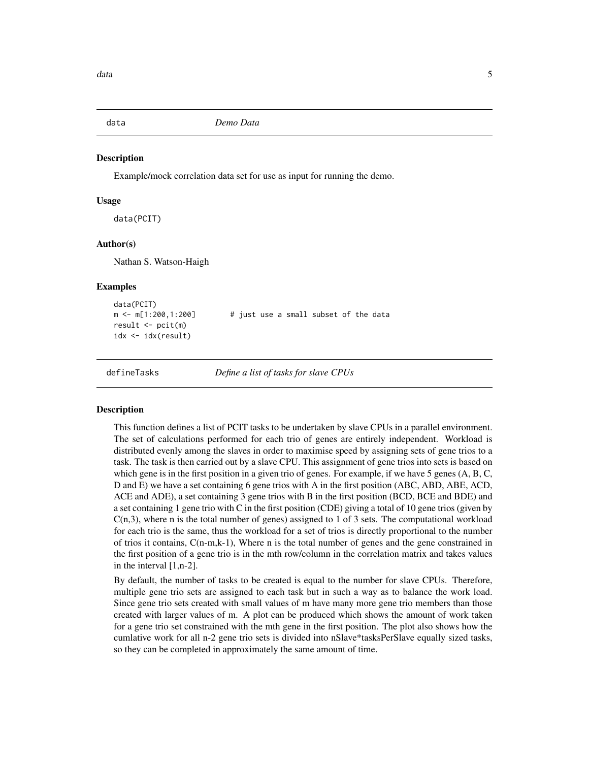<span id="page-4-0"></span>

#### **Description**

Example/mock correlation data set for use as input for running the demo.

#### Usage

data(PCIT)

#### Author(s)

Nathan S. Watson-Haigh

#### Examples

```
data(PCIT)
m \le m[1:200,1:200] # just use a small subset of the data
result <- pcit(m)
idx <- idx(result)
```
defineTasks *Define a list of tasks for slave CPUs*

#### Description

This function defines a list of PCIT tasks to be undertaken by slave CPUs in a parallel environment. The set of calculations performed for each trio of genes are entirely independent. Workload is distributed evenly among the slaves in order to maximise speed by assigning sets of gene trios to a task. The task is then carried out by a slave CPU. This assignment of gene trios into sets is based on which gene is in the first position in a given trio of genes. For example, if we have 5 genes (A, B, C, D and E) we have a set containing 6 gene trios with A in the first position (ABC, ABD, ABE, ACD, ACE and ADE), a set containing 3 gene trios with B in the first position (BCD, BCE and BDE) and a set containing 1 gene trio with C in the first position (CDE) giving a total of 10 gene trios (given by  $C(n,3)$ , where n is the total number of genes) assigned to 1 of 3 sets. The computational workload for each trio is the same, thus the workload for a set of trios is directly proportional to the number of trios it contains, C(n-m,k-1), Where n is the total number of genes and the gene constrained in the first position of a gene trio is in the mth row/column in the correlation matrix and takes values in the interval [1,n-2].

By default, the number of tasks to be created is equal to the number for slave CPUs. Therefore, multiple gene trio sets are assigned to each task but in such a way as to balance the work load. Since gene trio sets created with small values of m have many more gene trio members than those created with larger values of m. A plot can be produced which shows the amount of work taken for a gene trio set constrained with the mth gene in the first position. The plot also shows how the cumlative work for all n-2 gene trio sets is divided into nSlave\*tasksPerSlave equally sized tasks, so they can be completed in approximately the same amount of time.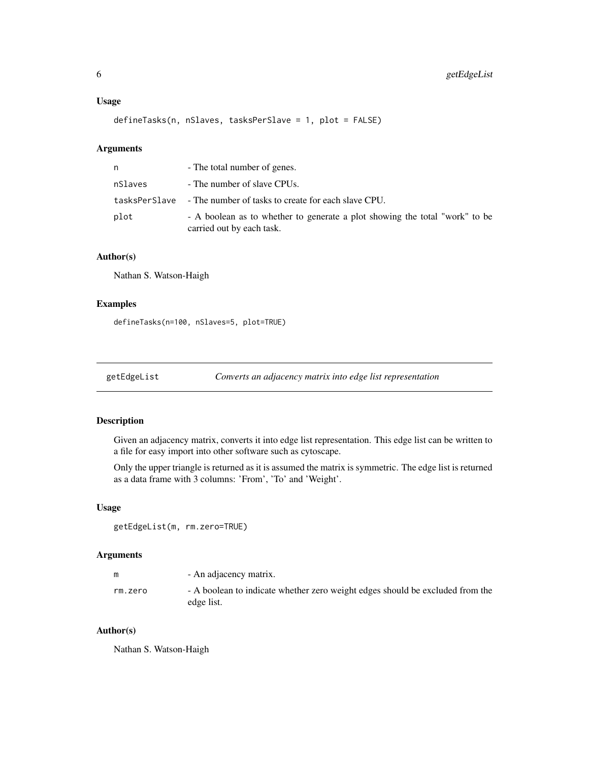#### <span id="page-5-0"></span>Usage

defineTasks(n, nSlaves, tasksPerSlave = 1, plot = FALSE)

#### Arguments

| n       | - The total number of genes.                                                                             |
|---------|----------------------------------------------------------------------------------------------------------|
| nSlaves | - The number of slave CPUs.                                                                              |
|         | tasksPerSlave - The number of tasks to create for each slave CPU.                                        |
| plot    | - A boolean as to whether to generate a plot showing the total "work" to be<br>carried out by each task. |

#### Author(s)

Nathan S. Watson-Haigh

#### Examples

defineTasks(n=100, nSlaves=5, plot=TRUE)

```
getEdgeList Converts an adjacency matrix into edge list representation
```
#### Description

Given an adjacency matrix, converts it into edge list representation. This edge list can be written to a file for easy import into other software such as cytoscape.

Only the upper triangle is returned as it is assumed the matrix is symmetric. The edge list is returned as a data frame with 3 columns: 'From', 'To' and 'Weight'.

#### Usage

getEdgeList(m, rm.zero=TRUE)

#### Arguments

| m       | - An adjacency matrix.                                                                      |
|---------|---------------------------------------------------------------------------------------------|
| rm.zero | - A boolean to indicate whether zero weight edges should be excluded from the<br>edge list. |

#### Author(s)

Nathan S. Watson-Haigh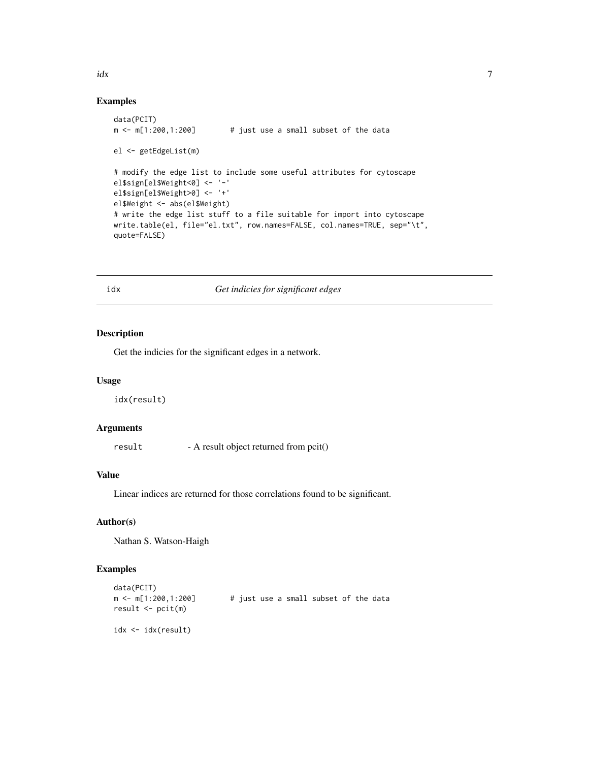#### Examples

```
data(PCIT)
m \le m[1:200,1:200] # just use a small subset of the data
el <- getEdgeList(m)
# modify the edge list to include some useful attributes for cytoscape
el$sign[el$Weight<0] <- '-'
el$sign[el$Weight>0] <- '+'
el$Weight <- abs(el$Weight)
# write the edge list stuff to a file suitable for import into cytoscape
write.table(el, file="el.txt", row.names=FALSE, col.names=TRUE, sep="\t",
quote=FALSE)
```
#### idx *Get indicies for significant edges*

#### Description

Get the indicies for the significant edges in a network.

#### Usage

idx(result)

#### Arguments

result - A result object returned from pcit()

#### Value

Linear indices are returned for those correlations found to be significant.

#### Author(s)

Nathan S. Watson-Haigh

#### Examples

```
data(PCIT)
m \le m[1:200,1:200] # just use a small subset of the data
result <- pcit(m)
idx <- idx(result)
```
#### <span id="page-6-0"></span> $i$ dx  $\frac{1}{2}$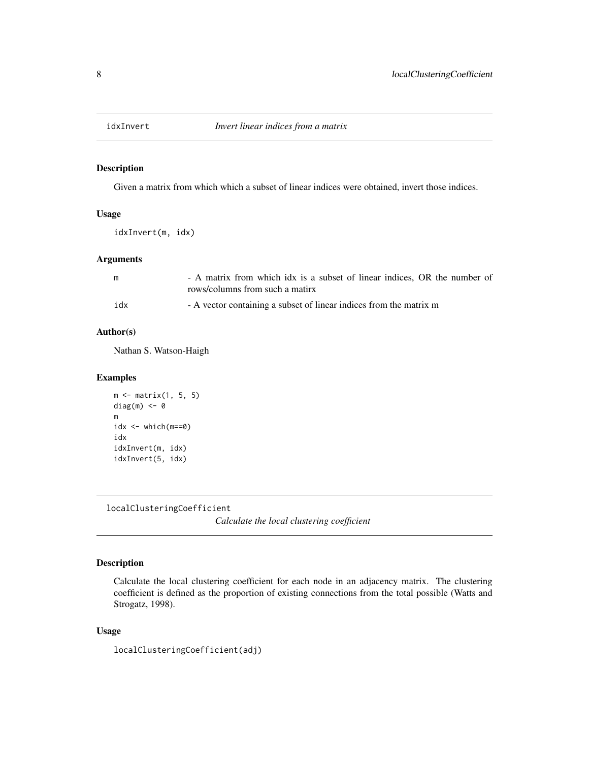<span id="page-7-0"></span>

#### Description

Given a matrix from which which a subset of linear indices were obtained, invert those indices.

#### Usage

idxInvert(m, idx)

#### Arguments

| m   | - A matrix from which idx is a subset of linear indices, OR the number of |
|-----|---------------------------------------------------------------------------|
|     | rows/columns from such a matirx                                           |
| idx | - A vector containing a subset of linear indices from the matrix m        |

#### Author(s)

Nathan S. Watson-Haigh

#### Examples

```
m \leftarrow matrix(1, 5, 5)diag(m) <- 0
m
idx <- which(m==0)
idx
idxInvert(m, idx)
idxInvert(5, idx)
```
<span id="page-7-1"></span>localClusteringCoefficient

*Calculate the local clustering coefficient*

#### Description

Calculate the local clustering coefficient for each node in an adjacency matrix. The clustering coefficient is defined as the proportion of existing connections from the total possible (Watts and Strogatz, 1998).

#### Usage

localClusteringCoefficient(adj)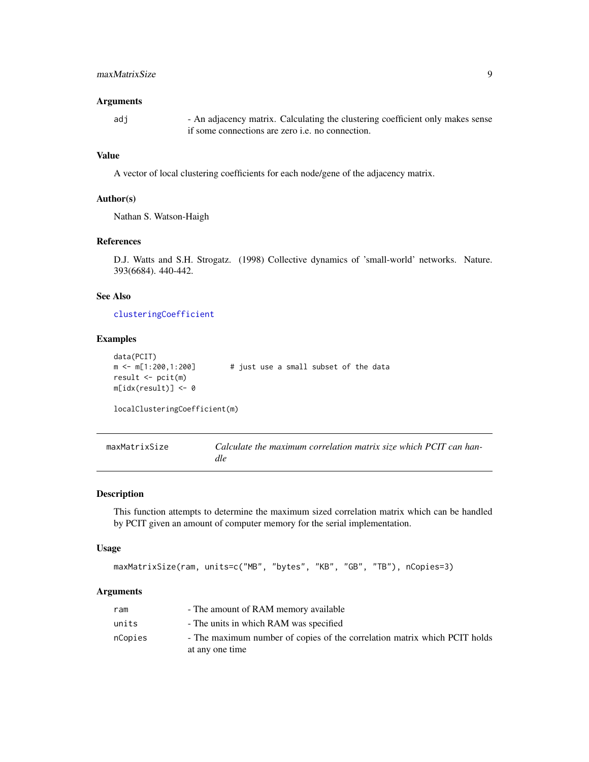#### <span id="page-8-0"></span>maxMatrixSize 9

#### **Arguments**

adj - An adjacency matrix. Calculating the clustering coefficient only makes sense if some connections are zero i.e. no connection.

#### Value

A vector of local clustering coefficients for each node/gene of the adjacency matrix.

#### Author(s)

Nathan S. Watson-Haigh

#### References

D.J. Watts and S.H. Strogatz. (1998) Collective dynamics of 'small-world' networks. Nature. 393(6684). 440-442.

#### See Also

[clusteringCoefficient](#page-2-1)

#### Examples

```
data(PCIT)
m \le m[1:200,1:200] # just use a small subset of the data
result <- pcit(m)
m[idx(result)] <- 0
```
localClusteringCoefficient(m)

<span id="page-8-1"></span>

| maxMatrixSize | Calculate the maximum correlation matrix size which PCIT can han- |
|---------------|-------------------------------------------------------------------|
|               | dle                                                               |

#### Description

This function attempts to determine the maximum sized correlation matrix which can be handled by PCIT given an amount of computer memory for the serial implementation.

#### Usage

```
maxMatrixSize(ram, units=c("MB", "bytes", "KB", "GB", "TB"), nCopies=3)
```
#### Arguments

| ram     | - The amount of RAM memory available                                      |
|---------|---------------------------------------------------------------------------|
| units   | - The units in which RAM was specified                                    |
| nCopies | - The maximum number of copies of the correlation matrix which PCIT holds |
|         | at any one time                                                           |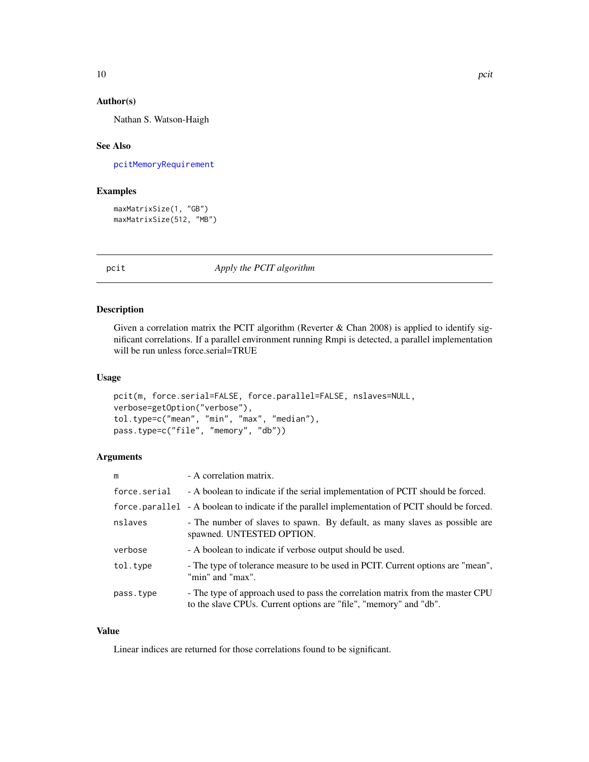#### <span id="page-9-0"></span>Author(s)

Nathan S. Watson-Haigh

#### See Also

[pcitMemoryRequirement](#page-10-1)

#### Examples

```
maxMatrixSize(1, "GB")
maxMatrixSize(512, "MB")
```
pcit *Apply the PCIT algorithm*

#### Description

Given a correlation matrix the PCIT algorithm (Reverter & Chan 2008) is applied to identify significant correlations. If a parallel environment running Rmpi is detected, a parallel implementation will be run unless force.serial=TRUE

#### Usage

```
pcit(m, force.serial=FALSE, force.parallel=FALSE, nslaves=NULL,
verbose=getOption("verbose"),
tol.type=c("mean", "min", "max", "median"),
pass.type=c("file", "memory", "db"))
```
#### Arguments

| m            | - A correlation matrix.                                                                                                                             |
|--------------|-----------------------------------------------------------------------------------------------------------------------------------------------------|
| force.serial | - A boolean to indicate if the serial implementation of PCIT should be forced.                                                                      |
|              | force parallel - A boolean to indicate if the parallel implementation of PCIT should be forced.                                                     |
| nslaves      | - The number of slaves to spawn. By default, as many slaves as possible are<br>spawned. UNTESTED OPTION.                                            |
| verbose      | - A boolean to indicate if verbose output should be used.                                                                                           |
| tol.type     | - The type of tolerance measure to be used in PCIT. Current options are "mean",<br>"min" and "max".                                                 |
| pass.type    | - The type of approach used to pass the correlation matrix from the master CPU<br>to the slave CPUs. Current options are "file", "memory" and "db". |

#### Value

Linear indices are returned for those correlations found to be significant.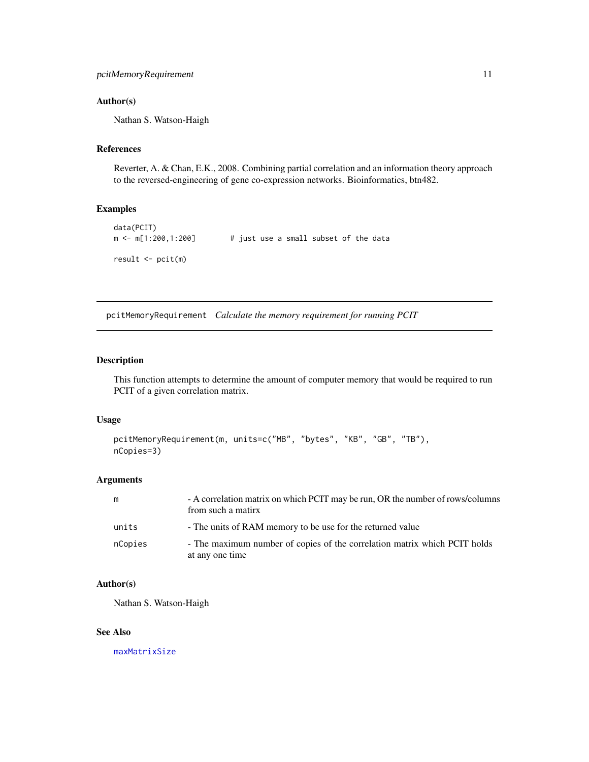#### <span id="page-10-0"></span>Author(s)

Nathan S. Watson-Haigh

#### References

Reverter, A. & Chan, E.K., 2008. Combining partial correlation and an information theory approach to the reversed-engineering of gene co-expression networks. Bioinformatics, btn482.

#### Examples

```
data(PCIT)
m \le m[1:200,1:200] # just use a small subset of the data
result <- pcit(m)
```
<span id="page-10-1"></span>pcitMemoryRequirement *Calculate the memory requirement for running PCIT*

#### Description

This function attempts to determine the amount of computer memory that would be required to run PCIT of a given correlation matrix.

#### Usage

```
pcitMemoryRequirement(m, units=c("MB", "bytes", "KB", "GB", "TB"),
nCopies=3)
```
#### Arguments

| m       | - A correlation matrix on which PCIT may be run, OR the number of rows/columns<br>from such a matirx |
|---------|------------------------------------------------------------------------------------------------------|
| units   | - The units of RAM memory to be use for the returned value                                           |
| nCopies | - The maximum number of copies of the correlation matrix which PCIT holds<br>at any one time         |

#### Author(s)

Nathan S. Watson-Haigh

#### See Also

[maxMatrixSize](#page-8-1)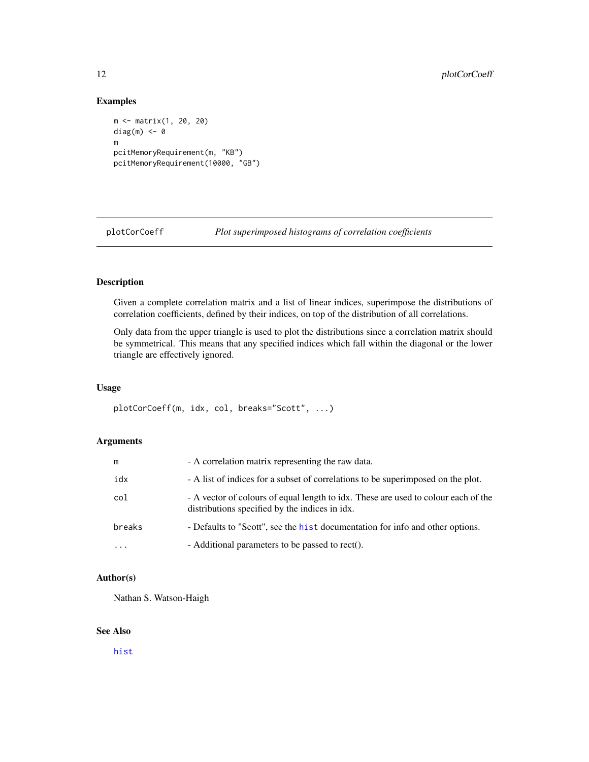#### Examples

```
m <- matrix(1, 20, 20)
diag(m) <- 0
m
pcitMemoryRequirement(m, "KB")
pcitMemoryRequirement(10000, "GB")
```
plotCorCoeff *Plot superimposed histograms of correlation coefficients*

#### Description

Given a complete correlation matrix and a list of linear indices, superimpose the distributions of correlation coefficients, defined by their indices, on top of the distribution of all correlations.

Only data from the upper triangle is used to plot the distributions since a correlation matrix should be symmetrical. This means that any specified indices which fall within the diagonal or the lower triangle are effectively ignored.

#### Usage

plotCorCoeff(m, idx, col, breaks="Scott", ...)

#### Arguments

| m         | - A correlation matrix representing the raw data.                                                                                    |
|-----------|--------------------------------------------------------------------------------------------------------------------------------------|
| idx       | - A list of indices for a subset of correlations to be superimposed on the plot.                                                     |
| col       | - A vector of colours of equal length to idx. These are used to colour each of the<br>distributions specified by the indices in idx. |
| breaks    | - Defaults to "Scott", see the hist documentation for info and other options.                                                        |
| $\ddotsc$ | - Additional parameters to be passed to rect().                                                                                      |

#### Author(s)

Nathan S. Watson-Haigh

#### See Also

[hist](#page-0-0)

<span id="page-11-0"></span>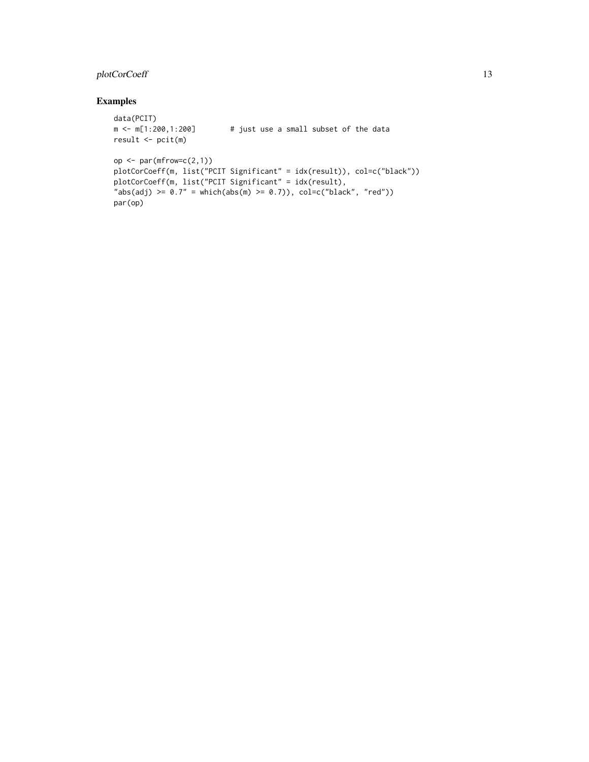#### plotCorCoeff 13

#### Examples

```
data(PCIT)
m \le m[1:200,1:200] # just use a small subset of the data
result <- pcit(m)
op \leq par(mfrow=c(2,1))
plotCorCoeff(m, list("PCIT Significant" = idx(result)), col=c("black"))
plotCorCoeff(m, list("PCIT Significant" = idx(result),
"abs(adj) >= 0.7" = which(abs(m) >= 0.7)), col=c("black", "red")par(op)
```